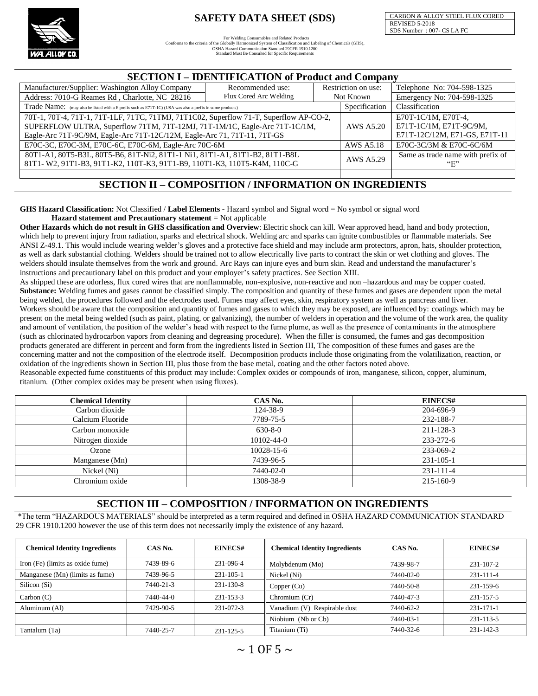

For Welding Consumables and Related Products<br>Conforms to the criteria of the Globally Harmonized System of Classification and Labeling of Chemicals (GHS),<br>OSHA Hazard Communication Standard 29CFR 1910.1200 Standard Must Be Consulted for Specific Requirements

CARBON & ALLOY STEEL FLUX CORED REVISED 5-2018 SDS Number : 007- CS LA FC

#### **SECTION I – IDENTIFICATION of Product and Company**

| Manufacturer/Supplier: Washington Alloy Company                                                           | Recommended use: |                                   | Restriction on use: | Telephone No: 704-598-1325 |  |  |  |  |  |  |
|-----------------------------------------------------------------------------------------------------------|------------------|-----------------------------------|---------------------|----------------------------|--|--|--|--|--|--|
| Address: 7010-G Reames Rd, Charlotte, NC 28216                                                            | Not Known        | Emergency No: 704-598-1325        |                     |                            |  |  |  |  |  |  |
| Trade Name: (may also be listed with a E prefix such as E71T-1C) (USA was also a prefix in some products) | Specification    | Classification                    |                     |                            |  |  |  |  |  |  |
| 70T-1, 70T-4, 71T-1, 71T-1LF, 71TC, 71TMJ, 71T1C02, Superflow 71-T, Superflow AP-CO-2,                    |                  | E70T-1C/1M, E70T-4.               |                     |                            |  |  |  |  |  |  |
| SUPERFLOW ULTRA, Superflow 71TM, 71T-12MJ, 71T-1M/1C, Eagle-Arc 71T-1C/1M,                                | AWS A5.20        | E71T-1C/1M, E71T-9C/9M,           |                     |                            |  |  |  |  |  |  |
| Eagle-Arc 71T-9C/9M, Eagle-Arc 71T-12C/12M, Eagle-Arc 71, 71T-11, 71T-GS                                  |                  | E71T-12C/12M, E71-GS, E71T-11     |                     |                            |  |  |  |  |  |  |
| E70C-3C, E70C-3M, E70C-6C, E70C-6M, Eagle-Arc 70C-6M                                                      | AWS A5.18        | E70C-3C/3M & E70C-6C/6M           |                     |                            |  |  |  |  |  |  |
| 80T1-A1, 80T5-B3L, 80T5-B6, 81T-Ni2, 81T1-1 Ni1, 81T1-A1, 81T1-B2, 81T1-B8L                               | AWS A5.29        | Same as trade name with prefix of |                     |                            |  |  |  |  |  |  |
| 81T1-W2, 91T1-B3, 91T1-K2, 110T-K3, 91T1-B9, 110T1-K3, 110T5-K4M, 110C-G                                  |                  | ``E"                              |                     |                            |  |  |  |  |  |  |
|                                                                                                           |                  |                                   |                     |                            |  |  |  |  |  |  |

#### **SECTION II – COMPOSITION / INFORMATION ON INGREDIENTS**

**GHS Hazard Classification:** Not Classified / **Label Elements** - Hazard symbol and Signal word = No symbol or signal word **Hazard statement and Precautionary statement** = Not applicable

**Other Hazards which do not result in GHS classification and Overview**: Electric shock can kill. Wear approved head, hand and body protection, which help to prevent injury from radiation, sparks and electrical shock. Welding arc and sparks can ignite combustibles or flammable materials. See ANSI Z-49.1. This would include wearing welder's gloves and a protective face shield and may include arm protectors, apron, hats, shoulder protection, as well as dark substantial clothing. Welders should be trained not to allow electrically live parts to contract the skin or wet clothing and gloves. The welders should insulate themselves from the work and ground. Arc Rays can injure eyes and burn skin. Read and understand the manufacturer's instructions and precautionary label on this product and your employer's safety practices. See Section XIII.

As shipped these are odorless, flux cored wires that are nonflammable, non-explosive, non-reactive and non –hazardous and may be copper coated. Substance: Welding fumes and gases cannot be classified simply. The composition and quantity of these fumes and gases are dependent upon the metal being welded, the procedures followed and the electrodes used. Fumes may affect eyes, skin, respiratory system as well as pancreas and liver. Workers should be aware that the composition and quantity of fumes and gases to which they may be exposed, are influenced by: coatings which may be present on the metal being welded (such as paint, plating, or galvanizing), the number of welders in operation and the volume of the work area, the quality and amount of ventilation, the position of the welder's head with respect to the fume plume, as well as the presence of contaminants in the atmosphere (such as chlorinated hydrocarbon vapors from cleaning and degreasing procedure). When the filler is consumed, the fumes and gas decomposition products generated are different in percent and form from the ingredients listed in Section III, The composition of these fumes and gases are the concerning matter and not the composition of the electrode itself. Decomposition products include those originating from the volatilization, reaction, or oxidation of the ingredients shown in Section III, plus those from the base metal, coating and the other factors noted above.

Reasonable expected fume constituents of this product may include: Complex oxides or compounds of iron, manganese, silicon, copper, aluminum, titanium. (Other complex oxides may be present when using fluxes).

| <b>Chemical Identity</b> | CAS No.          | EINECS#   |
|--------------------------|------------------|-----------|
| Carbon dioxide           | 124-38-9         | 204-696-9 |
| Calcium Fluoride         | 7789-75-5        | 232-188-7 |
| Carbon monoxide          | $630 - 8 - 0$    | 211-128-3 |
| Nitrogen dioxide         | $10102 - 44 - 0$ | 233-272-6 |
| Ozone                    | $10028 - 15 - 6$ | 233-069-2 |
| Manganese (Mn)           | 7439-96-5        | 231-105-1 |
| Nickel (Ni)              | 7440-02-0        | 231-111-4 |
| Chromium oxide           | 1308-38-9        | 215-160-9 |
|                          |                  |           |

#### **SECTION III – COMPOSITION / INFORMATION ON INGREDIENTS**

\*The term "HAZARDOUS MATERIALS" should be interpreted as a term required and defined in OSHA HAZARD COMMUNICATION STANDARD 29 CFR 1910.1200 however the use of this term does not necessarily imply the existence of any hazard.

| <b>Chemical Identity Ingredients</b> | CAS No.   | EINECS#   | <b>Chemical Identity Ingredients</b> | CAS No.   | EINECS#   |
|--------------------------------------|-----------|-----------|--------------------------------------|-----------|-----------|
| Iron (Fe) (limits as oxide fume)     | 7439-89-6 | 231-096-4 | Molybdenum (Mo)                      | 7439-98-7 | 231-107-2 |
| Manganese (Mn) (limits as fume)      | 7439-96-5 | 231-105-1 | Nickel (Ni)                          | 7440-02-0 | 231-111-4 |
| Silicon (Si)                         | 7440-21-3 | 231-130-8 | Copper (Cu)                          | 7440-50-8 | 231-159-6 |
| Carbon (C)                           | 7440-44-0 | 231-153-3 | Chromium (Cr)                        | 7440-47-3 | 231-157-5 |
| Aluminum (Al)                        | 7429-90-5 | 231-072-3 | Vanadium (V) Respirable dust         | 7440-62-2 | 231-171-1 |
|                                      |           |           | Niobium (Nb or Cb)                   | 7440-03-1 | 231-113-5 |
| Tantalum (Ta)                        | 7440-25-7 | 231-125-5 | Titanium (Ti)                        | 7440-32-6 | 231-142-3 |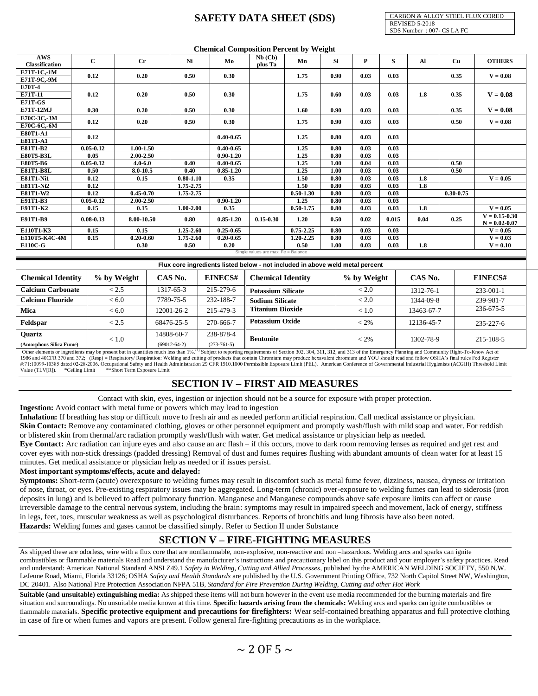CARBON & ALLOY STEEL FLUX CORED REVISED 5-2018 SDS Number : 007- CS LA FC

|                                   |                       |                                |                                  |               |                            | <b>Chemical Composition Percent by Weight</b>                                 |              |              |                           |                  |               |                   |
|-----------------------------------|-----------------------|--------------------------------|----------------------------------|---------------|----------------------------|-------------------------------------------------------------------------------|--------------|--------------|---------------------------|------------------|---------------|-------------------|
| AWS                               | $\mathbf{C}$          | $_{\rm Cr}$                    |                                  | Ni            | Mo                         | $Nb$ (Cb)<br>Mn                                                               | Si           | $\mathbf{P}$ | $\mathbf{s}$              | $\mathbf{Al}$    | Cu            | <b>OTHERS</b>     |
| Classification                    |                       |                                |                                  |               |                            | plus Ta                                                                       |              |              |                           |                  |               |                   |
| E71T-1C,-1M                       | 0.12                  | 0.20                           |                                  | 0.50          | 0.30                       | 1.75                                                                          | 0.90         | 0.03         | 0.03                      |                  | 0.35          | $V = 0.08$        |
| E71T-9C,-9M                       |                       |                                |                                  |               |                            |                                                                               |              |              |                           |                  |               |                   |
| E70T-4                            |                       |                                |                                  |               |                            |                                                                               |              |              |                           |                  |               |                   |
| E71T-11                           | 0.12                  | 0.20                           |                                  | 0.50          | 0.30                       | 1.75                                                                          | 0.60         | 0.03         | 0.03                      | 1.8              | 0.35          | $V = 0.08$        |
| E71T-GS                           |                       |                                |                                  |               |                            |                                                                               |              |              |                           |                  |               |                   |
| E71T-12MJ                         | 0.30                  | 0.20                           |                                  | 0.50          | 0.30                       | 1.60                                                                          | 0.90         | 0.03         | 0.03                      |                  | 0.35          | $V = 0.08$        |
| E70C-3C,-3M                       | 0.12                  | 0.20                           |                                  | 0.50          | 0.30                       | 1.75                                                                          | 0.90         | 0.03         | 0.03                      |                  | 0.50          | $V = 0.08$        |
| E70C-6C,-6M                       |                       |                                |                                  |               |                            |                                                                               |              |              |                           |                  |               |                   |
| E80T1-A1                          | 0.12                  |                                |                                  |               | $0.40 - 0.65$              | 1.25                                                                          | 0.80         | 0.03         | 0.03                      |                  |               |                   |
| <b>E81T1-A1</b>                   |                       |                                |                                  |               |                            |                                                                               |              |              |                           |                  |               |                   |
| E81T1-B2                          | $0.05 - 0.12$         | $1.00 - 1.50$                  |                                  |               | $0.40 - 0.65$              | 1.25                                                                          | 0.80         | 0.03         | 0.03                      |                  |               |                   |
| E80T5-B3L                         | 0.05                  | 2.00-2.50                      |                                  |               | $0.90 - 1.20$              | 1.25                                                                          | 0.80         | 0.03         | 0.03                      |                  |               |                   |
| E80T5-B6                          | $0.05 - 0.12$         | $4.0 - 6.0$                    |                                  | 0.40          | $0.40 - 0.65$              | 1.25                                                                          | 1.00         | 0.04         | 0.03                      |                  | 0.50          |                   |
| <b>E81T1-B8L</b>                  | 0.50                  | $8.0 - 10.5$                   |                                  | 0.40          | $0.85 - 1.20$              | 1.25                                                                          | 1.00         | 0.03         | 0.03                      |                  | 0.50          |                   |
| <b>E81T1-Ni1</b>                  | 0.12                  | 0.15                           |                                  | $0.80 - 1.10$ | 0.35                       | 1.50                                                                          | 0.80         | 0.03         | 0.03                      | $\overline{1.8}$ |               | $V = 0.05$        |
| <b>E81T1-Ni2</b>                  | 0.12                  |                                |                                  | 1.75-2.75     |                            | 1.50                                                                          | 0.80         | 0.03<br>0.03 | 0.03                      | 1.8              |               |                   |
| E81T1-W2<br>E91T1-B3              | 0.12<br>$0.05 - 0.12$ | $0.45 - 0.70$<br>$2.00 - 2.50$ |                                  | 1.75-2.75     | $0.90 - 1.20$              | $0.50 - 1.30$<br>1.25                                                         | 0.80<br>0.80 | 0.03         | 0.03<br>$\overline{0.03}$ |                  | $0.30 - 0.75$ |                   |
|                                   | 0.15                  | 0.15                           |                                  | $1.00 - 2.00$ |                            | $0.50 - 1.75$                                                                 |              |              |                           | 1.8              |               | $V = 0.05$        |
| <b>E91T1-K2</b>                   |                       |                                |                                  |               | 0.35                       |                                                                               | $\bf{0.80}$  | 0.03         | 0.03                      |                  |               | $V = 0.15 - 0.30$ |
| E91T1-B9                          | $0.08 - 0.13$         | 8.00-10.50                     |                                  | 0.80          | $0.85 - 1.20$              | $0.15 - 0.30$<br>1.20                                                         | 0.50         | 0.02         | 0.015                     | 0.04             | 0.25          | $N = 0.02 - 0.07$ |
| E110T1-K3                         | 0.15                  | 0.15                           |                                  | 1.25-2.60     | $0.25 - 0.65$              | $0.75 - 2.25$                                                                 | 0.80         | 0.03         | 0.03                      |                  |               | $V = 0.05$        |
| E110T5-K4C-4M                     | 0.15                  | $0.20 - 0.60$                  |                                  | 1.75-2.60     | $0.20 - 0.65$              | $1,20-2,25$                                                                   | 0.80         | 0.03         | 0.03                      |                  |               | $V = 0.03$        |
| <b>E110C-G</b>                    |                       | 0.30                           |                                  | 0.50          | 0.20                       | 0.50                                                                          | 1.00         | 0.03         | 0.03                      | 1.8              |               | $V = 0.10$        |
|                                   |                       |                                |                                  |               |                            | Single values are max, Fe = Balance                                           |              |              |                           |                  |               |                   |
|                                   |                       |                                |                                  |               |                            | Flux core ingredients listed below - not included in above weld metal percent |              |              |                           |                  |               |                   |
| <b>Chemical Identity</b>          |                       | % by Weight                    | CAS No.                          |               | <b>EINECS#</b>             | <b>Chemical Identity</b>                                                      |              | % by Weight  |                           | CAS No.          |               | EINECS#           |
| <b>Calcium Carbonate</b>          |                       | < 2.5                          | 1317-65-3                        |               | 215-279-6                  | <b>Potassium Silicate</b>                                                     |              | < 2.0        |                           | 1312-76-1        |               | 233-001-1         |
| <b>Calcium Fluoride</b>           |                       | < 6.0                          | 7789-75-5                        |               | 232-188-7                  | <b>Sodium Silicate</b>                                                        |              | < 2.0        |                           | 1344-09-8        |               | 239-981-7         |
| Mica                              |                       | < 6.0                          | 12001-26-2                       |               | 215-479-3                  | <b>Titanium Dioxide</b>                                                       |              | < 1.0        |                           | 13463-67-7       |               | 236-675-5         |
| Feldspar                          |                       | < 2.5                          | 68476-25-5                       |               | 270-666-7                  | <b>Potassium Oxide</b>                                                        |              | $< 2\%$      |                           | 12136-45-7       |               | 235-227-6         |
| Quartz<br>(Amorphous Silica Fume) |                       | < 1.0                          | 14808-60-7<br>$(69012 - 64 - 2)$ |               | 238-878-4<br>$(273-761-5)$ | Bentonite                                                                     |              | $< 2\%$      |                           | 1302-78-9        |               | 215-108-5         |

(Amorphous Silica Fume)<br>Other elements or ingredients may be present but in quantities much less than 1%.<sup>(1)</sup> Subject to reporting requirements of Section 302, 304, 311, 312, and 313 of the Emergency Planning and Communit Value (TLV[R]). \*Ceiling Limit \*\*Short Term Exposure Limit

# **SECTION IV – FIRST AID MEASURES**

Contact with skin, eyes, ingestion or injection should not be a source for exposure with proper protection.

**Ingestion:** Avoid contact with metal fume or powers which may lead to ingestion

**Inhalation:** If breathing has stop or difficult move to fresh air and as needed perform artificial respiration. Call medical assistance or physician.

Skin Contact: Remove any contaminated clothing, gloves or other personnel equipment and promptly wash/flush with mild soap and water. For reddish or blistered skin from thermal/arc radiation promptly wash/flush with water. Get medical assistance or physician help as needed.

**Eye Contact:** Arc radiation can injure eyes and also cause an arc flash – if this occurs, move to dark room removing lenses as required and get rest and cover eyes with non-stick dressings (padded dressing) Removal of dust and fumes requires flushing with abundant amounts of clean water for at least 15 minutes. Get medical assistance or physician help as needed or if issues persist.

#### **Most important symptoms/effects, acute and delayed:**

**Symptoms:** Short-term (acute) overexposure to welding fumes may result in discomfort such as metal fume fever, dizziness, nausea, dryness or irritation of nose, throat, or eyes. Pre-existing respiratory issues may be aggregated. Long-term (chronic) over-exposure to welding fumes can lead to siderosis (iron deposits in lung) and is believed to affect pulmonary function. Manganese and Manganese compounds above safe exposure limits can affect or cause irreversible damage to the central nervous system, including the brain: symptoms may result in impaired speech and movement, lack of energy, stiffness in legs, feet, toes, muscular weakness as well as psychological disturbances. Reports of bronchitis and lung fibrosis have also been noted. **Hazards:** Welding fumes and gases cannot be classified simply. Refer to Section II under Substance

# **SECTION V – FIRE-FIGHTING MEASURES**

As shipped these are odorless, wire with a flux core that are nonflammable, non-explosive, non-reactive and non –hazardous. Welding arcs and sparks can ignite combustibles or flammable materials Read and understand the manufacturer's instructions and precautionary label on this product and your employer's safety practices. Read and understand: American National Standard ANSI Z49.1 *Safety in Welding, Cutting and Allied Processes*, published by the AMERICAN WELDING SOCIETY, 550 N.W. LeJeune Road, Miami, Florida 33126; OSHA *Safety and Health Standards* are published by the U.S. Government Printing Office, 732 North Capitol Street NW, Washington, DC 20401. Also National Fire Protection Association NFPA 51B*, Standard for Fire Prevention During Welding, Cutting and other Hot Work*

**Suitable (and unsuitable) extinguishing media:** As shipped these items will not burn however in the event use media recommended for the burning materials and fire situation and surroundings. No unsuitable media known at this time. **Specific hazards arising from the chemicals:** Welding arcs and sparks can ignite combustibles or flammable materials. **Specific protective equipment and precautions for firefighters:** Wear self-contained breathing apparatus and full protective clothing in case of fire or when fumes and vapors are present. Follow general fire-fighting precautions as in the workplace.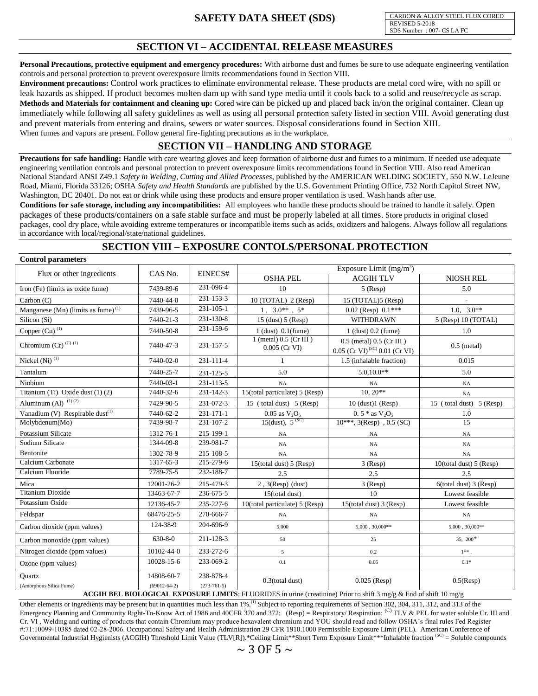CARBON & ALLOY STEEL FLUX CORED REVISED 5-2018 SDS Number : 007- CS LA FC

### **SECTION VI – ACCIDENTAL RELEASE MEASURES**

**Personal Precautions, protective equipment and emergency procedures:** With airborne dust and fumes be sure to use adequate engineering ventilation controls and personal protection to prevent overexposure limits recommendations found in Section VIII.

**Environment precautions:** Control work practices to eliminate environmental release. These products are metal cord wire, with no spill or leak hazards as shipped. If product becomes molten dam up with sand type media until it cools back to a solid and reuse/recycle as scrap. **Methods and Materials for containment and cleaning up:** Cored wire can be picked up and placed back in/on the original container. Clean up immediately while following all safety guidelines as well as using all personal protection safety listed in section VIII. Avoid generating dust and prevent materials from entering and drains, sewers or water sources. Disposal considerations found in Section XIII. When fumes and vapors are present. Follow general fire-fighting precautions as in the workplace.

# **SECTION VII – HANDLING AND STORAGE**

**Precautions for safe handling:** Handle with care wearing gloves and keep formation of airborne dust and fumes to a minimum. If needed use adequate engineering ventilation controls and personal protection to prevent overexposure limits recommendations found in Section VIII. Also read American National Standard ANSI Z49.1 *Safety in Welding, Cutting and Allied Processes*, published by the AMERICAN WELDING SOCIETY, 550 N.W. LeJeune Road, Miami, Florida 33126; OSHA *Safety and Health Standards* are published by the U.S. Government Printing Office, 732 North Capitol Street NW, Washington, DC 20401. Do not eat or drink while using these products and ensure proper ventilation is used. Wash hands after use.

**Conditions for safe storage, including any incompatibilities:** All employees who handle these products should be trained to handle it safely. Open packages of these products/containers on a safe stable surface and must be properly labeled at all times. Store products in original closed packages, cool dry place, while avoiding extreme temperatures or incompatible items such as acids, oxidizers and halogens. Always follow all regulations in accordance with local/regional/state/national guidelines.

# **SECTION VIII – EXPOSURE CONTOLS/PERSONAL PROTECTION**

**Control parameters**

| COMA OI PALAMETELS                                                                 |                                     |                 | Exposure Limit $(mg/m3)$                      |                                                                             |                           |  |  |
|------------------------------------------------------------------------------------|-------------------------------------|-----------------|-----------------------------------------------|-----------------------------------------------------------------------------|---------------------------|--|--|
| Flux or other ingredients                                                          | CAS No.                             | EINECS#         | <b>OSHA PEL</b>                               | <b>ACGIH TLV</b>                                                            | NIOSH REL                 |  |  |
| Iron (Fe) (limits as oxide fume)                                                   | 7439-89-6                           | 231-096-4       | 10                                            | $5$ (Resp)                                                                  | 5.0                       |  |  |
| Carbon $(C)$                                                                       | 7440-44-0                           | $231 - 153 - 3$ | $10$ (TOTAL) $2$ (Resp)                       | 15 (TOTAL)5 (Resp)                                                          |                           |  |  |
| Manganese (Mn) (limits as fume) <sup>(1)</sup>                                     | 7439-96-5                           | 231-105-1       | $1, 3.0**$ , $5*$                             | $0.02$ (Resp) $0.1***$                                                      | $1.0, 3.0**$              |  |  |
| Silicon (Si)                                                                       | 7440-21-3                           | 231-130-8       | $15$ (dust) $5$ (Resp)                        | WITHDRAWN                                                                   | 5 (Resp) 10 (TOTAL)       |  |  |
| Copper (Cu) <sup>(1)</sup>                                                         | 7440-50-8                           | 231-159-6       | $1$ (dust) $0.1$ (fume)                       | $1$ (dust) $0.2$ (fume)                                                     | 1.0                       |  |  |
| Chromium $(Cr)$ <sup>(C)(1)</sup>                                                  | 7440-47-3                           | 231-157-5       | $1$ (metal) $0.5$ (Cr III)<br>$0.005$ (Cr VI) | $0.5$ (metal) $0.5$ (Cr III)<br>$0.05$ (Cr VI) <sup>(SC)</sup> 0.01 (Cr VI) | $0.5$ (metal)             |  |  |
| Nickel (Ni) <sup>(1)</sup>                                                         | 7440-02-0                           | 231-111-4       | 1                                             | 1.5 (inhalable fraction)                                                    | 0.015                     |  |  |
| Tantalum                                                                           | 7440-25-7                           | 231-125-5       | 5.0                                           | $5.0.10.0**$                                                                | 5.0                       |  |  |
| Niobium                                                                            | 7440-03-1                           | 231-113-5       | NA                                            | NA                                                                          | NA                        |  |  |
| Titanium (Ti) Oxide dust (1) (2)                                                   | 7440-32-6                           | 231-142-3       | 15(total particulate) 5 (Resp)                | $10, 20**$                                                                  | NA                        |  |  |
| Aluminum (Al) $^{(1)}$ $\overline{^{(2)}}$                                         | 7429-90-5                           | 231-072-3       | 15 (total dust) 5 (Resp)                      | $10$ (dust) $1$ (Resp)                                                      | 15 (total dust) 5 (Resp)  |  |  |
| Vanadium (V) Respirable dust $(1)$                                                 | 7440-62-2                           | 231-171-1       | $0.05$ as $\rm V_2O_5$                        | $0.5 * as V2O5$                                                             | 1.0                       |  |  |
| Molybdenum(Mo)                                                                     | 7439-98-7                           | 231-107-2       | 15(dust), $5^{(SC)}$                          | $10***$ , $3(Resp)$ , $0.5$ (SC)                                            | $\overline{15}$           |  |  |
| Potassium Silicate                                                                 | 1312-76-1                           | 215-199-1       | NA                                            | NA                                                                          | NA                        |  |  |
| Sodium Silicate                                                                    | 1344-09-8                           | 239-981-7       | NA                                            | NA                                                                          | NA                        |  |  |
| Bentonite                                                                          | 1302-78-9                           | 215-108-5       | NA                                            | NA                                                                          | NA                        |  |  |
| Calcium Carbonate                                                                  | 1317-65-3                           | 215-279-6       | $15$ (total dust) $5$ (Resp)                  | $3$ (Resp)                                                                  | 10(total dust) $5$ (Resp) |  |  |
| Calcium Fluoride                                                                   | 7789-75-5                           | 232-188-7       | 2.5                                           | 2.5                                                                         | 2.5                       |  |  |
| Mica                                                                               | 12001-26-2                          | 215-479-3       | $2, 3$ (Resp) (dust)                          | $3$ (Resp)                                                                  | $6$ (total dust) 3 (Resp) |  |  |
| <b>Titanium Dioxide</b>                                                            | 13463-67-7                          | 236-675-5       | 15(total dust)                                | 10                                                                          | Lowest feasible           |  |  |
| Potassium Oxide                                                                    | 12136-45-7                          | 235-227-6       | 10(total particulate) 5 (Resp)                | $15$ (total dust) 3 (Resp)                                                  | Lowest feasible           |  |  |
| Feldspar                                                                           | 68476-25-5                          | 270-666-7       | NA                                            | NA                                                                          | NA                        |  |  |
| Carbon dioxide (ppm values)                                                        | 124-38-9                            | 204-696-9       | 5,000                                         | $5,000, 30,000**$                                                           | $5,000, 30,000**$         |  |  |
| Carbon monoxide (ppm values)                                                       | $630 - 8 - 0$                       | 211-128-3       | 50                                            | 25                                                                          | $35, 200*$                |  |  |
| Nitrogen dioxide (ppm values)                                                      | 10102-44-0                          | 233-272-6       | 5 <sup>5</sup>                                | 0.2                                                                         | $1**$ ,                   |  |  |
| Ozone (ppm values)                                                                 | 10028-15-6                          | 233-069-2       | 0.1                                           | 0.05                                                                        | $0.1*$                    |  |  |
| <b>Ouartz</b>                                                                      | 14808-60-7                          | 238-878-4       | $0.3$ (total dust)                            | $0.025$ (Resp)                                                              | $0.5$ (Resp)              |  |  |
| (Amorphous Silica Fume)<br>$\alpha$ $\alpha$ v $\alpha$ $\alpha$ $\alpha$ $\alpha$ | $(273-761-5)$<br>$(69012 - 64 - 2)$ |                 |                                               |                                                                             |                           |  |  |

**ACGIH BEL BIOLOGICAL EXPOSURE LIMITS**: FLUORIDES in urine (creatinine) Prior to shift 3 mg/g & End of shift 10 mg/g

Other elements or ingredients may be present but in quantities much less than 1%.<sup>(1)</sup> Subject to reporting requirements of Section 302, 304, 311, 312, and 313 of the Emergency Planning and Community Right-To-Know Act of 1986 and 40CFR 370 and 372; (Resp) = Respiratory/ Respiration: <sup>(C)</sup> TLV & PEL for water soluble Cr. III and Cr. VI , Welding and cutting of products that contain Chromium may produce hexavalent chromium and YOU should read and follow OSHA's final rules Fed Register #:71:10099-10385 dated 02-28-2006. Occupational Safety and Health Administration 29 CFR 1910.1000 Permissible Exposure Limit (PEL). American Conference of Governmental Industrial Hygienists (ACGIH) Threshold Limit Value (TLV[R]).\*Ceiling Limit\*\*Short Term Exposure Limit\*\*\*Inhalable fraction (SC) = Soluble compounds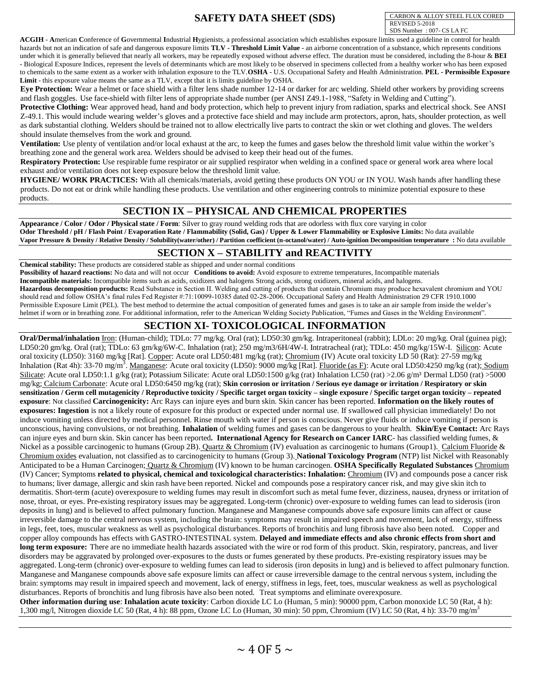CARBON & ALLOY STEEL FLUX CORED REVISED 5-2018 SDS Number : 007- CS LA FC

**ACGIH** - **A**merican **C**onference of **G**overnmental **I**ndustrial **H**ygienists, a professional association which establishes exposure limits used a guideline in control for health hazards but not an indication of safe and dangerous exposure limits TLV - Threshold Limit Value - an airborne concentration of a substance, which represents conditions under which it is generally believed that nearly all workers, may be repeatedly exposed without adverse effect. The duration must be considered, including the 8-hour & **BEI**  - Biological Exposure Indices, represent the levels of determinants which are most likely to be observed in specimens collected from a healthy worker who has been exposed to chemicals to the same extent as a worker with inhalation exposure to the TLV.**OSHA** - U.S. Occupational Safety and Health Administration. **PEL - Permissible Exposure Limit** - this exposure value means the same as a TLV, except that it is limits guideline by OSHA.

**Eye Protection:** Wear a helmet or face shield with a filter lens shade number 12-14 or darker for arc welding. Shield other workers by providing screens and flash goggles. Use face-shield with filter lens of appropriate shade number (per ANSI Z49.1-1988, "Safety in Welding and Cutting").

**Protective Clothing:** Wear approved head, hand and body protection, which help to prevent injury from radiation, sparks and electrical shock. See ANSI Z-49.1. This would include wearing welder's gloves and a protective face shield and may include arm protectors, apron, hats, shoulder protection, as well as dark substantial clothing. Welders should be trained not to allow electrically live parts to contract the skin or wet clothing and gloves. The welders should insulate themselves from the work and ground.

**Ventilation:** Use plenty of ventilation and/or local exhaust at the arc, to keep the fumes and gases below the threshold limit value within the worker's breathing zone and the general work area. Welders should be advised to keep their head out of the fumes.

**Respiratory Protection:** Use respirable fume respirator or air supplied respirator when welding in a confined space or general work area where local exhaust and/or ventilation does not keep exposure below the threshold limit value.

**HYGIENE/ WORK PRACTICES:** With all chemicals/materials, avoid getting these products ON YOU or IN YOU. Wash hands after handling these products. Do not eat or drink while handling these products. Use ventilation and other engineering controls to minimize potential exposure to these products.

# **SECTION IX – PHYSICAL AND CHEMICAL PROPERTIES**

**Appearance** / Color / Odor / Physical state / Form: Silver to gray round welding rods that are odorless with flux core varying in color **Odor Threshold / pH / Flash Point / Evaporation Rate / Flammability (Solid, Gas) / Upper & Lower Flammability or Explosive Limits:** No data available **Vapor Pressure & Density / Relative Density / Solubility(water/other) / Partition coefficient (n-octanol/water) / Auto-ignition Decomposition temperature :** No data available

# **SECTION X – STABILITY and REACTIVITY**

**Chemical stability:** These products are considered stable as shipped and under normal conditions

**Possibility of hazard reactions:** No data and will not occur **Conditions to avoid:** Avoid exposure to extreme temperatures, Incompatible materials

**Incompatible materials:** Incompatible items such as acids, oxidizers and halogens Strong acids, strong oxidizers, mineral acids, and halogens.

**Hazardous decomposition products:** Read Substance in Section II. Welding and cutting of products that contain Chromium may produce hexavalent chromium and YOU should read and follow OSHA's final rules Fed Register #:71:10099-10385 dated 02-28-2006. Occupational Safety and Health Administration 29 CFR 1910.1000 Permissible Exposure Limit (PEL). The best method to determine the actual composition of generated fumes and gases is to take an air sample from inside the welder's helmet if worn or in breathing zone. For additional information, refer to the American Welding Society Publication, "Fumes and Gases in the Welding Environment".

# **SECTION XI- TOXICOLOGICAL INFORMATION**

**Oral/Dermal/inhalation** Iron: (Human-child); TDLo: 77 mg/kg. Oral (rat); LD50:30 gm/kg. Intraperitoneal (rabbit); LDLo: 20 mg/kg. Oral (guinea pig); LD50:20 gm/kg. Oral (rat); TDLo: 63 gm/kg/6W-C. Inhalation (rat); 250 mg/m3/6H/4W-I. Intratracheal (rat); TDLo: 450 mg/kg/15W-I. Silicon: Acute oral toxicity (LD50): 3160 mg/kg [Rat]. Copper: Acute oral LD50:481 mg/kg (rat); Chromium (IV) Acute oral toxicity LD 50 (Rat): 27-59 mg/kg Inhalation (Rat 4h): 33-70 mg/m<sup>3</sup>. Manganese: Acute oral toxicity (LD50): 9000 mg/kg [Rat]. Fluoride (as F): Acute oral LD50:4250 mg/kg (rat); Sodium Silicate: Acute oral LD50:1.1 g/kg (rat); Potassium Silicate: Acute oral LD50:1500 g/kg (rat) Inhalation LC50 (rat) >2.06 g/m<sup>3</sup> Dermal LD50 (rat) >5000 mg/kg; Calcium Carbonate: Acute oral LD50:6450 mg/kg (rat); **Skin corrosion or irritation / Serious eye damage or irritation / Respiratory or skin sensitization / Germ cell mutagenicity / Reproductive toxicity / Specific target organ toxicity – single exposure / Specific target organ toxicity – repeated exposure**: Not classified **Carcinogenicity:** Arc Rays can injure eyes and burn skin. Skin cancer has been reported. **Information on the likely routes of exposures: Ingestion** is not a likely route of exposure for this product or expected under normal use. If swallowed call physician immediately! Do not induce vomiting unless directed by medical personnel. Rinse mouth with water if person is conscious. Never give fluids or induce vomiting if person is unconscious, having convulsions, or not breathing. **Inhalation** of welding fumes and gases can be dangerous to your health. **Skin/Eye Contact:** Arc Rays can injure eyes and burn skin. Skin cancer has been reported**. International Agency for Research on Cancer IARC**- has classified welding fumes, & Nickel as a possible carcinogenic to humans (Group 2B). Quartz & Chromium (IV) evaluation as carcinogenic to humans (Group1). Calcium Fluoride & Chromium oxides evaluation, not classified as to carcinogenicity to humans (Group 3). **National Toxicology Program** (NTP) list Nickel with Reasonably Anticipated to be a Human Carcinogen; Quartz & Chromium (IV) known to be human carcinogen. **OSHA Specifically Regulated Substances** Chromium (IV) Cancer; Symptoms **related to physical, chemical and toxicological characteristics: Inhalation:** Chromium (IV) and compounds pose a cancer risk to humans; liver damage, allergic and skin rash have been reported. Nickel and compounds pose a respiratory cancer risk, and may give skin itch to dermatitis. Short-term (acute) overexposure to welding fumes may result in discomfort such as metal fume fever, dizziness, nausea, dryness or irritation of nose, throat, or eyes. Pre-existing respiratory issues may be aggregated. Long-term (chronic) over-exposure to welding fumes can lead to siderosis (iron deposits in lung) and is believed to affect pulmonary function. Manganese and Manganese compounds above safe exposure limits can affect or cause irreversible damage to the central nervous system, including the brain: symptoms may result in impaired speech and movement, lack of energy, stiffness in legs, feet, toes, muscular weakness as well as psychological disturbances. Reports of bronchitis and lung fibrosis have also been noted. Copper and copper alloy compounds has effects with GASTRO-INTESTINAL system. **Delayed and immediate effects and also chronic effects from short and long term exposure:** There are no immediate health hazards associated with the wire or rod form of this product. Skin, respiratory, pancreas, and liver disorders may be aggravated by prolonged over-exposures to the dusts or fumes generated by these products. Pre-existing respiratory issues may be aggregated. Long-term (chronic) over-exposure to welding fumes can lead to siderosis (iron deposits in lung) and is believed to affect pulmonary function. Manganese and Manganese compounds above safe exposure limits can affect or cause irreversible damage to the central nervous system, including the brain: symptoms may result in impaired speech and movement, lack of energy, stiffness in legs, feet, toes, muscular weakness as well as psychological disturbances. Reports of bronchitis and lung fibrosis have also been noted. Treat symptoms and eliminate overexposure. **Other information during use**: **Inhalation acute toxicity**: Carbon dioxide LC Lo (Human, 5 min): 90000 ppm, Carbon monoxide LC 50 (Rat, 4 h):

1,300 mg/l, Nitrogen dioxide LC 50 (Rat, 4 h): 88 ppm, Ozone LC Lo (Human, 30 min): 50 ppm, Chromium (IV) LC 50 (Rat, 4 h): 33-70 mg/m<sup>3</sup>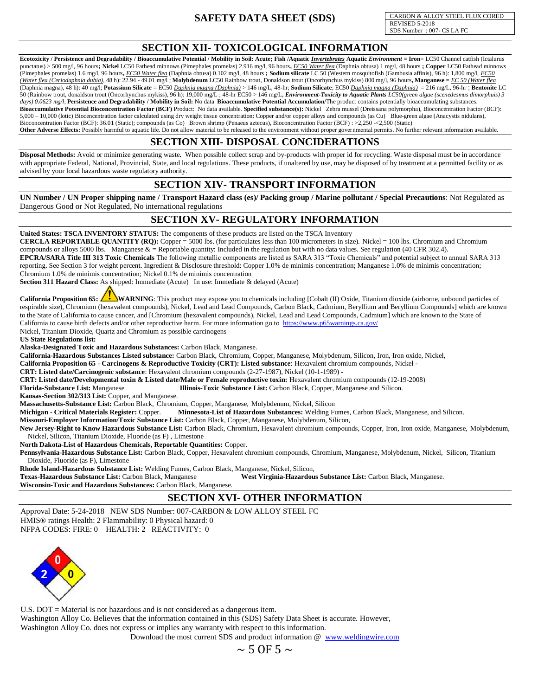CARBON & ALLOY STEEL FLUX CORED REVISED 5-2018 SDS Number : 007- CS LA FC

# **SECTION XII- TOXICOLOGICAL INFORMATION**

Ecotoxicity / Persistence and Degradability / Bioaccumulative Potential / Mobility in Soil: Acute; Fish /Aquatic *Invertebrates* Aquatic *Environment* = Iron= LC50 Channel catfish (Ictalurus punctatus) > 500 mg/l, 96 hours; Nickel LC50 Fathead minnows (Pimephales promelas) 2.916 mg/l, 96 hours, *EC50 Water flea* (Daphnia obtusa) 1 mg/l, 48 hours; Copper LC50 Fathead minnows (Pimephales promelas) 1.6 mg/l, 96 hours**,** *EC50 Water flea* (Daphnia obtusa) 0.102 mg/l, 48 hours **; Sodium silicate** LC 50 (Western mosquitofish (Gambusia affinis), 96 h): 1,800 mg/l, *EC50 (Water flea (Ceriodaphnia dubia)*, 48 h): 22.94 - 49.01 mg/l ; **Molybdenum** LC50 Rainbow trout, Donaldson trout (Oncorhynchus mykiss) 800 mg/l, 96 hours**, Manganese** = *EC 50 (Water flea* (Daphnia magna), 48 h): 40 mg/l; **Potassium Silicate** = EC50 *Daphnia magna (Daphnia)* > 146 mg/L, 48-hr; **Sodium Silicate**; EC50 *Daphnia magna (Daphnia)* = 216 mg/L, 96-hr ; **Bentonite** LC 50 (Rainbow trout, donaldson trout (Oncorhynchus mykiss), 96 h): 19,000 mg/L ; 48-hr EC50 > 146 mg/L, *Environment-Toxicity to Aquatic Plants LC50(green algae (scenedesmus dimorphuis) 3 days) 0.0623 mg/l*, **Persistence and Degradability / Mobility in Soil:** No data **Bioaccumulative Potential Accumulation/**The product contains potentially bioaccumulating substances. **Bioaccumulative Potential Bioconcentration Factor (BCF)** Product: No data available. **Specified substance(s):** Nickel Zebra mussel (Dreissana polymorpha), Bioconcentration Factor (BCF): 5,000 – 10,000 (lotic) Biocencentration factor calculated using dry weight tissue concentration: Copper and/or copper alloys and compounds (as Cu) Blue-green algae (Anacystis nidulans), Bioconcentration Factor (BCF): 36.01 (Static); compounds (as Co) Brown shrimp (Penaeus aztecus), Bioconcentration Factor (BCF) : >2,250 -<2,500 (Static) **Other Adverse Effects:** Possibly harmful to aquatic life. Do not allow material to be released to the environment without proper governmental permits. No further relevant information available.

#### **SECTION XIII- DISPOSAL CONCIDERATIONS**

**Disposal Methods:** Avoid or minimize generating waste**.** When possible collect scrap and by-products with proper id for recycling. Waste disposal must be in accordance with appropriate Federal, National, Provincial, State, and local regulations. These products, if unaltered by use, may be disposed of by treatment at a permitted facility or as advised by your local hazardous waste regulatory authority.

# **SECTION XIV- TRANSPORT INFORMATION**

**UN Number / UN Proper shipping name / Transport Hazard class (es)/ Packing group / Marine pollutant / Special Precautions**: Not Regulated as Dangerous Good or Not Regulated, No international regulations

# **SECTION XV- REGULATORY INFORMATION**

**United States: TSCA INVENTORY STATUS:** The components of these products are listed on the TSCA Inventory

**CERCLA REPORTABLE QUANTITY (RQ):** Copper = 5000 lbs. (for particulates less than 100 micrometers in size). Nickel = 100 lbs. Chromium and Chromium compounds or alloys 5000 lbs. Manganese  $\& =$  Reportable quantity: Included in the regulation but with no data values. See regulation (40 CFR 302.4).

**EPCRA/SARA Title III 313 Toxic Chemicals** The following metallic components are listed as SARA 313 "Toxic Chemicals" and potential subject to annual SARA 313 reporting. See Section 3 for weight percent. Ingredient & Disclosure threshold: Copper 1.0% de minimis concentration; Manganese 1.0% de minimis concentration; Chromium 1.0% de minimis concentration; Nickel 0.1% de minimis concentration

**Section 311 Hazard Class:** As shipped: Immediate (Acute) In use: Immediate & delayed (Acute)

California Proposition 65: **WARNING**: This product may expose you to chemicals including [Cobalt (II) Oxide, Titanium dioxide (airborne, unbound particles of respirable size), Chromium (hexavalent compounds), Nickel, Lead and Lead Compounds, Carbon Black, Cadmium, Beryllium and Beryllium Compounds] which are known to the State of California to cause cancer, and [Chromium (hexavalent compounds), Nickel, Lead and Lead Compounds, Cadmium] which are known to the State of California to cause birth defects and/or other reproductive harm. For more information go to <https://www.p65warnings.ca.gov/>

Nickel, Titanium Dioxide, Quartz and Chromium as possible carcinogens

**US State Regulations list:**

**Alaska-Designated Toxic and Hazardous Substances:** Carbon Black, Manganese.

**California-Hazardous Substances Listed substance:** Carbon Black, Chromium, Copper, Manganese, Molybdenum, Silicon, Iron, Iron oxide, Nickel,

**California Proposition 65 - Carcinogens & Reproductive Toxicity (CRT): Listed substance**: Hexavalent chromium compounds, Nickel **-** 

**CRT: Listed date/Carcinogenic substance**: Hexavalent chromium compounds (2-27-1987), Nickel (10-1-1989) **-** 

**CRT: Listed date/Developmental toxin & Listed date/Male or Female reproductive toxin:** Hexavalent chromium compounds (12-19-2008)

**Florida-Substance List:** Manganese **Illinois-Toxic Substance List:** Carbon Black, Copper, Manganese and Silicon.

**Kansas-Section 302/313 List:** Copper, and Manganese.

**Massachusetts-Substance List:** Carbon Black, Chromium, Copper, Manganese, Molybdenum, Nickel, Silicon

**Michigan - Critical Materials Register:** Copper. **Minnesota-List of Hazardous Substances:** Welding Fumes, Carbon Black, Manganese, and Silicon.

**Missouri-Employer Information/Toxic Substance List:** Carbon Black, Copper, Manganese, Molybdenum, Silicon,

**New Jersey-Right to Know Hazardous Substance List:** Carbon Black, Chromium, Hexavalent chromium compounds, Copper, Iron, Iron oxide, Manganese, Molybdenum, Nickel, Silicon, Titanium Dioxide, Fluoride (as F) , Limestone

**North Dakota-List of Hazardous Chemicals, Reportable Quantities:** Copper.

**Pennsylvania-Hazardous Substance List:** Carbon Black, Copper, Hexavalent chromium compounds, Chromium, Manganese, Molybdenum, Nickel, Silicon, Titanium Dioxide, Fluoride (as F), Limestone

**Rhode Island-Hazardous Substance List:** Welding Fumes, Carbon Black, Manganese, Nickel, Silicon,

West Virginia-Hazardous Substance List: Carbon Black, Manganese.

**Wisconsin-Toxic and Hazardous Substances:** Carbon Black, Manganese.

# **SECTION XVI- OTHER INFORMATION**

Approval Date: 5-24-2018 NEW SDS Number: 007-CARBON & LOW ALLOY STEEL FC HMIS® ratings Health: 2 Flammability: 0 Physical hazard: 0 NFPA CODES: FIRE: 0 HEALTH: 2 REACTIVITY: 0



U.S. DOT = Material is not hazardous and is not considered as a dangerous item.

Washington Alloy Co. Believes that the information contained in this (SDS) Safety Data Sheet is accurate. However, Washington Alloy Co. does not express or implies any warranty with respect to this information.

Download the most current SDS and product information @ [www.weldingwire.com](http://www.weldingwire.com/)